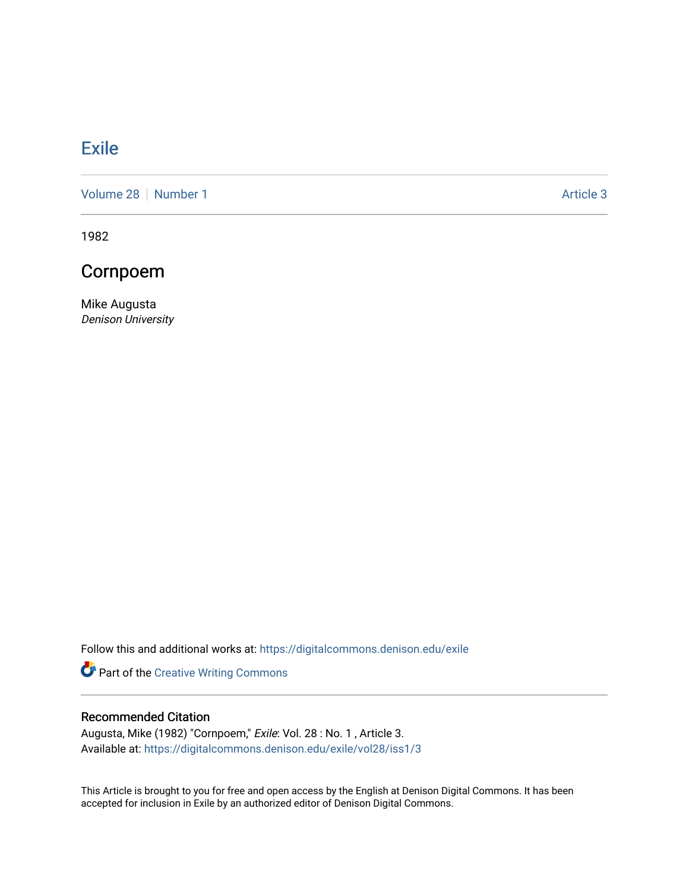## **[Exile](https://digitalcommons.denison.edu/exile)**

[Volume 28](https://digitalcommons.denison.edu/exile/vol28) [Number 1](https://digitalcommons.denison.edu/exile/vol28/iss1) Article 3

1982

## Cornpoem

Mike Augusta Denison University

Follow this and additional works at: [https://digitalcommons.denison.edu/exile](https://digitalcommons.denison.edu/exile?utm_source=digitalcommons.denison.edu%2Fexile%2Fvol28%2Fiss1%2F3&utm_medium=PDF&utm_campaign=PDFCoverPages) 

Part of the [Creative Writing Commons](http://network.bepress.com/hgg/discipline/574?utm_source=digitalcommons.denison.edu%2Fexile%2Fvol28%2Fiss1%2F3&utm_medium=PDF&utm_campaign=PDFCoverPages) 

## Recommended Citation

Augusta, Mike (1982) "Cornpoem," Exile: Vol. 28 : No. 1 , Article 3. Available at: [https://digitalcommons.denison.edu/exile/vol28/iss1/3](https://digitalcommons.denison.edu/exile/vol28/iss1/3?utm_source=digitalcommons.denison.edu%2Fexile%2Fvol28%2Fiss1%2F3&utm_medium=PDF&utm_campaign=PDFCoverPages) 

This Article is brought to you for free and open access by the English at Denison Digital Commons. It has been accepted for inclusion in Exile by an authorized editor of Denison Digital Commons.